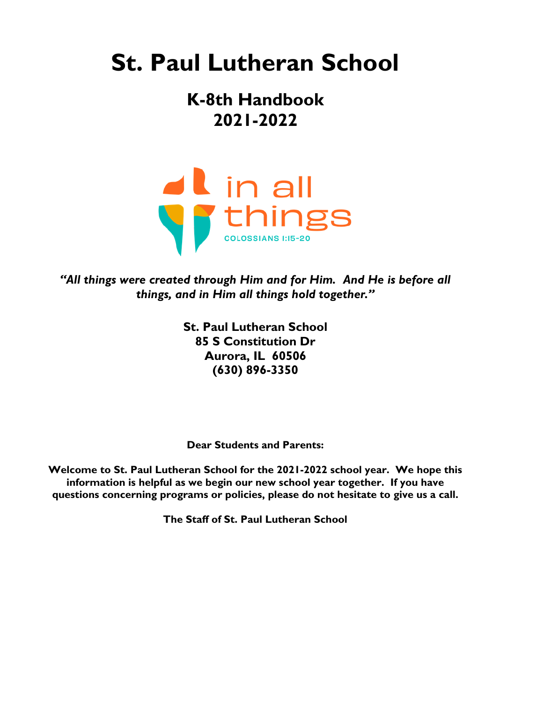# **St. Paul Lutheran School**

# **K-8th Handbook 2021-2022**



*"All things were created through Him and for Him. And He is before all things, and in Him all things hold together."*

> **St. Paul Lutheran School 85 S Constitution Dr Aurora, IL 60506 (630) 896-3350**

**Dear Students and Parents:**

**Welcome to St. Paul Lutheran School for the 2021-2022 school year. We hope this information is helpful as we begin our new school year together. If you have questions concerning programs or policies, please do not hesitate to give us a call.**

**The Staff of St. Paul Lutheran School**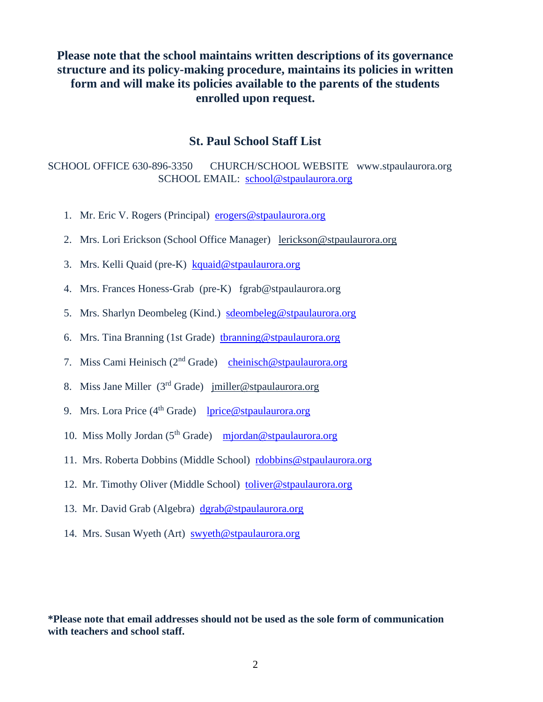## **Please note that the school maintains written descriptions of its governance structure and its policy-making procedure, maintains its policies in written form and will make its policies available to the parents of the students enrolled upon request.**

### **St. Paul School Staff List**

SCHOOL OFFICE 630-896-3350 CHURCH/SCHOOL WEBSITE www.stpaulaurora.org SCHOOL EMAIL: [school@stpaulaurora.org](mailto:school@stpaulaurora.org)

- 1. Mr. Eric V. Rogers (Principal) [erogers@stpaulaurora.org](mailto:erogers@stpaulaurora.org)
- 2. Mrs. Lori Erickson (School Office Manager) [lerickson@stpaulaurora.org](mailto:lerickson@stpaulaurora.org)
- 3. Mrs. Kelli Quaid (pre-K) [kquaid@stpaulaurora.org](mailto:kquaid@stpaulaurora.org)
- 4. Mrs. Frances Honess-Grab (pre-K) fgrab@stpaulaurora.org
- 5. Mrs. Sharlyn Deombeleg (Kind.) [sdeombeleg@stpaulaurora.org](mailto:sdeombeleg@stpaulaurora.org)
- 6. Mrs. Tina Branning (1st Grade) [tbranning@stpaulaurora.org](mailto:tbranning@stpaulaurora.org)
- 7. Miss Cami Heinisch (2nd Grade) [cheinisch@stpaulaurora.org](mailto:cheinisch@stpaulaurora.org)
- 8. Miss Jane Miller (3rd Grade) [jmiller@stpaulaurora.org](mailto:jmiller@stpaulaurora.org)
- 9. Mrs. Lora Price  $(4<sup>th</sup> Grade)$  [lprice@stpaulaurora.org](mailto:lprice@stpaulaurora.org)
- 10. Miss Molly Jordan ( $5<sup>th</sup>$  Grade) [mjordan@stpaulaurora.org](mailto:mjordan@stpaulaurora.org)
- 11. Mrs. Roberta Dobbins (Middle School) [rdobbins@stpaulaurora.org](mailto:rdobbins@stpaulaurora.org)
- 12. Mr. Timothy Oliver (Middle School) [toliver@stpaulaurora.org](mailto:toliver@stpaulaurora.org)
- 13. Mr. David Grab (Algebra) [dgrab@stpaulaurora.org](mailto:dgrab@stpaulaurora.org)
- 14. Mrs. Susan Wyeth (Art) [swyeth@stpaulaurora.org](mailto:swyeth@stpaulaurora.org)

**\*Please note that email addresses should not be used as the sole form of communication with teachers and school staff.**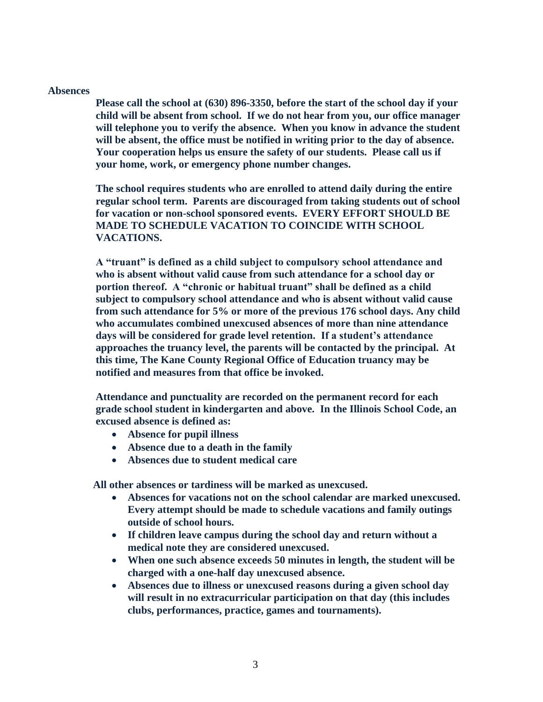#### **Absences**

**Please call the school at (630) 896-3350, before the start of the school day if your child will be absent from school. If we do not hear from you, our office manager will telephone you to verify the absence. When you know in advance the student will be absent, the office must be notified in writing prior to the day of absence. Your cooperation helps us ensure the safety of our students. Please call us if your home, work, or emergency phone number changes.**

**The school requires students who are enrolled to attend daily during the entire regular school term. Parents are discouraged from taking students out of school for vacation or non-school sponsored events. EVERY EFFORT SHOULD BE MADE TO SCHEDULE VACATION TO COINCIDE WITH SCHOOL VACATIONS.** 

**A "truant" is defined as a child subject to compulsory school attendance and who is absent without valid cause from such attendance for a school day or portion thereof. A "chronic or habitual truant" shall be defined as a child subject to compulsory school attendance and who is absent without valid cause from such attendance for 5% or more of the previous 176 school days. Any child who accumulates combined unexcused absences of more than nine attendance days will be considered for grade level retention. If a student's attendance approaches the truancy level, the parents will be contacted by the principal. At this time, The Kane County Regional Office of Education truancy may be notified and measures from that office be invoked.** 

**Attendance and punctuality are recorded on the permanent record for each grade school student in kindergarten and above. In the Illinois School Code, an excused absence is defined as:**

- **Absence for pupil illness**
- **Absence due to a death in the family**
- **Absences due to student medical care**

 **All other absences or tardiness will be marked as unexcused.**

- **Absences for vacations not on the school calendar are marked unexcused. Every attempt should be made to schedule vacations and family outings outside of school hours.**
- **If children leave campus during the school day and return without a medical note they are considered unexcused.**
- **When one such absence exceeds 50 minutes in length, the student will be charged with a one-half day unexcused absence.**
- **Absences due to illness or unexcused reasons during a given school day will result in no extracurricular participation on that day (this includes clubs, performances, practice, games and tournaments).**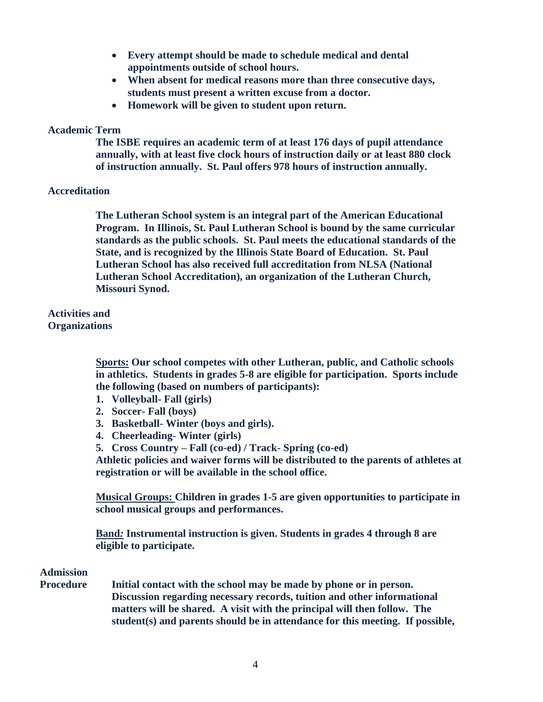- **Every attempt should be made to schedule medical and dental appointments outside of school hours.**
- **When absent for medical reasons more than three consecutive days, students must present a written excuse from a doctor.**
- **Homework will be given to student upon return.**

#### **Academic Term**

 **The ISBE requires an academic term of at least 176 days of pupil attendance annually, with at least five clock hours of instruction daily or at least 880 clock of instruction annually. St. Paul offers 978 hours of instruction annually.** 

#### **Accreditation**

**The Lutheran School system is an integral part of the American Educational Program. In Illinois, St. Paul Lutheran School is bound by the same curricular standards as the public schools. St. Paul meets the educational standards of the State, and is recognized by the Illinois State Board of Education. St. Paul Lutheran School has also received full accreditation from NLSA (National Lutheran School Accreditation), an organization of the Lutheran Church, Missouri Synod.** 

**Activities and Organizations** 

> **Sports: Our school competes with other Lutheran, public, and Catholic schools in athletics. Students in grades 5-8 are eligible for participation. Sports include the following (based on numbers of participants):**

- **1. Volleyball- Fall (girls)**
- **2. Soccer- Fall (boys)**
- **3. Basketball- Winter (boys and girls).**
- **4. Cheerleading- Winter (girls)**
- **5. Cross Country – Fall (co-ed) / Track- Spring (co-ed)**

**Athletic policies and waiver forms will be distributed to the parents of athletes at registration or will be available in the school office.**

**Musical Groups: Children in grades 1-5 are given opportunities to participate in school musical groups and performances.**

**Band***:* **Instrumental instruction is given. Students in grades 4 through 8 are eligible to participate.**

### **Admission**

**Procedure Initial contact with the school may be made by phone or in person. Discussion regarding necessary records, tuition and other informational matters will be shared. A visit with the principal will then follow. The student(s) and parents should be in attendance for this meeting. If possible,**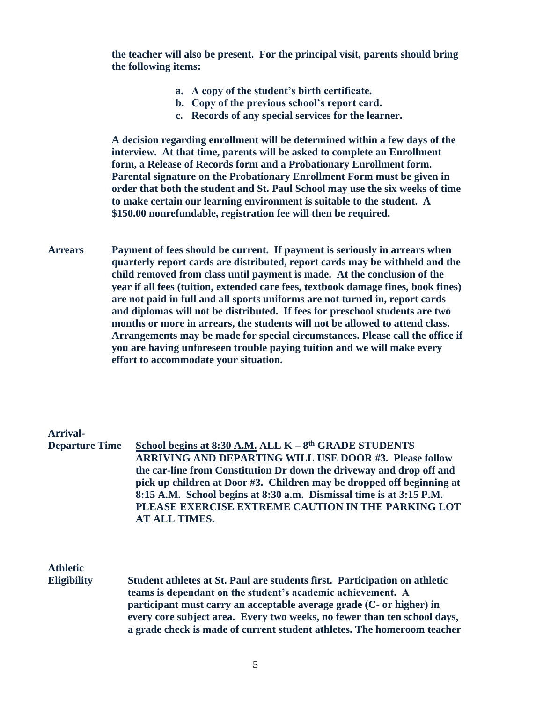**the teacher will also be present. For the principal visit, parents should bring the following items:** 

- **a. A copy of the student's birth certificate.**
- **b. Copy of the previous school's report card.**
- **c. Records of any special services for the learner.**

**A decision regarding enrollment will be determined within a few days of the interview. At that time, parents will be asked to complete an Enrollment form, a Release of Records form and a Probationary Enrollment form. Parental signature on the Probationary Enrollment Form must be given in order that both the student and St. Paul School may use the six weeks of time to make certain our learning environment is suitable to the student. A \$150.00 nonrefundable, registration fee will then be required.**

**Arrears Payment of fees should be current. If payment is seriously in arrears when quarterly report cards are distributed, report cards may be withheld and the child removed from class until payment is made. At the conclusion of the year if all fees (tuition, extended care fees, textbook damage fines, book fines) are not paid in full and all sports uniforms are not turned in, report cards and diplomas will not be distributed. If fees for preschool students are two months or more in arrears, the students will not be allowed to attend class. Arrangements may be made for special circumstances. Please call the office if you are having unforeseen trouble paying tuition and we will make every effort to accommodate your situation.**

### **Arrival-**

**Departure Time School begins at 8:30 A.M. ALL K – 8 th GRADE STUDENTS ARRIVING AND DEPARTING WILL USE DOOR #3. Please follow the car-line from Constitution Dr down the driveway and drop off and pick up children at Door #3. Children may be dropped off beginning at 8:15 A.M. School begins at 8:30 a.m. Dismissal time is at 3:15 P.M. PLEASE EXERCISE EXTREME CAUTION IN THE PARKING LOT AT ALL TIMES.**

# **Athletic**

**Eligibility Student athletes at St. Paul are students first. Participation on athletic teams is dependant on the student's academic achievement. A participant must carry an acceptable average grade (C- or higher) in every core subject area. Every two weeks, no fewer than ten school days, a grade check is made of current student athletes. The homeroom teacher**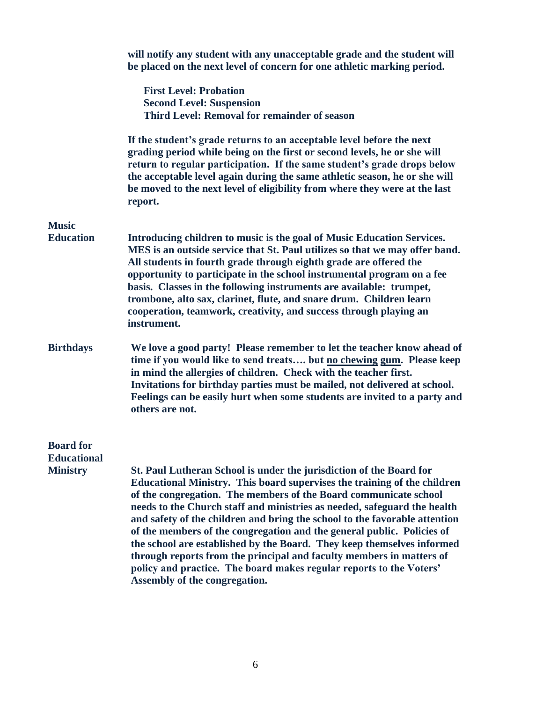|                                       | will notify any student with any unacceptable grade and the student will<br>be placed on the next level of concern for one athletic marking period.                                                                                                                                                                                                                                                                                                                                                                                                                                                                                                                                                               |
|---------------------------------------|-------------------------------------------------------------------------------------------------------------------------------------------------------------------------------------------------------------------------------------------------------------------------------------------------------------------------------------------------------------------------------------------------------------------------------------------------------------------------------------------------------------------------------------------------------------------------------------------------------------------------------------------------------------------------------------------------------------------|
|                                       | <b>First Level: Probation</b><br><b>Second Level: Suspension</b><br>Third Level: Removal for remainder of season                                                                                                                                                                                                                                                                                                                                                                                                                                                                                                                                                                                                  |
|                                       | If the student's grade returns to an acceptable level before the next<br>grading period while being on the first or second levels, he or she will<br>return to regular participation. If the same student's grade drops below<br>the acceptable level again during the same athletic season, he or she will<br>be moved to the next level of eligibility from where they were at the last<br>report.                                                                                                                                                                                                                                                                                                              |
| <b>Music</b>                          |                                                                                                                                                                                                                                                                                                                                                                                                                                                                                                                                                                                                                                                                                                                   |
| <b>Education</b>                      | Introducing children to music is the goal of Music Education Services.<br>MES is an outside service that St. Paul utilizes so that we may offer band.<br>All students in fourth grade through eighth grade are offered the<br>opportunity to participate in the school instrumental program on a fee<br>basis. Classes in the following instruments are available: trumpet,<br>trombone, alto sax, clarinet, flute, and snare drum. Children learn<br>cooperation, teamwork, creativity, and success through playing an<br>instrument.                                                                                                                                                                            |
| <b>Birthdays</b>                      | We love a good party! Please remember to let the teacher know ahead of<br>time if you would like to send treats but no chewing gum. Please keep<br>in mind the allergies of children. Check with the teacher first.<br>Invitations for birthday parties must be mailed, not delivered at school.<br>Feelings can be easily hurt when some students are invited to a party and<br>others are not.                                                                                                                                                                                                                                                                                                                  |
| <b>Board</b> for                      |                                                                                                                                                                                                                                                                                                                                                                                                                                                                                                                                                                                                                                                                                                                   |
| <b>Educational</b><br><b>Ministry</b> | St. Paul Lutheran School is under the jurisdiction of the Board for<br>Educational Ministry. This board supervises the training of the children<br>of the congregation. The members of the Board communicate school<br>needs to the Church staff and ministries as needed, safeguard the health<br>and safety of the children and bring the school to the favorable attention<br>of the members of the congregation and the general public. Policies of<br>the school are established by the Board. They keep themselves informed<br>through reports from the principal and faculty members in matters of<br>policy and practice. The board makes regular reports to the Voters'<br>Assembly of the congregation. |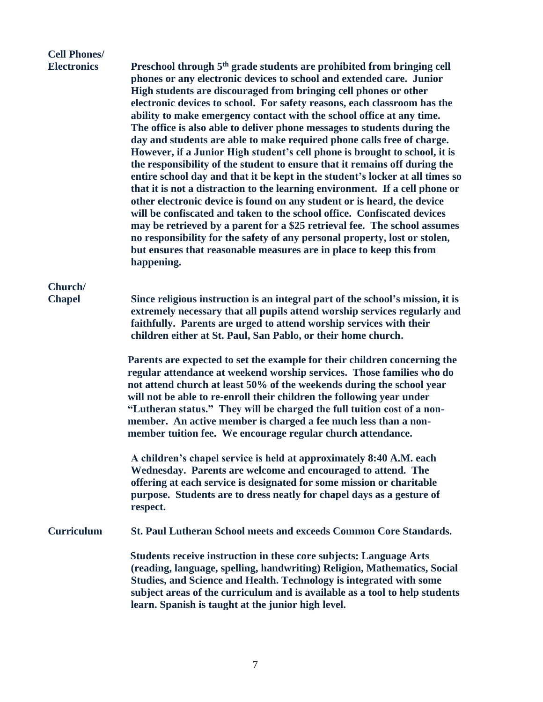# **Cell Phones/**

**Electronics Preschool through 5th grade students are prohibited from bringing cell phones or any electronic devices to school and extended care. Junior High students are discouraged from bringing cell phones or other electronic devices to school. For safety reasons, each classroom has the ability to make emergency contact with the school office at any time. The office is also able to deliver phone messages to students during the day and students are able to make required phone calls free of charge. However, if a Junior High student's cell phone is brought to school, it is the responsibility of the student to ensure that it remains off during the entire school day and that it be kept in the student's locker at all times so that it is not a distraction to the learning environment. If a cell phone or other electronic device is found on any student or is heard, the device will be confiscated and taken to the school office. Confiscated devices may be retrieved by a parent for a \$25 retrieval fee. The school assumes no responsibility for the safety of any personal property, lost or stolen, but ensures that reasonable measures are in place to keep this from happening.**

# **Church/**

**Chapel Since religious instruction is an integral part of the school's mission, it is extremely necessary that all pupils attend worship services regularly and faithfully. Parents are urged to attend worship services with their children either at St. Paul, San Pablo, or their home church.** 

> **Parents are expected to set the example for their children concerning the regular attendance at weekend worship services. Those families who do not attend church at least 50% of the weekends during the school year will not be able to re-enroll their children the following year under "Lutheran status." They will be charged the full tuition cost of a nonmember. An active member is charged a fee much less than a nonmember tuition fee. We encourage regular church attendance.**

**A children's chapel service is held at approximately 8:40 A.M. each Wednesday. Parents are welcome and encouraged to attend. The offering at each service is designated for some mission or charitable purpose. Students are to dress neatly for chapel days as a gesture of respect.**

**Curriculum St. Paul Lutheran School meets and exceeds Common Core Standards.**

 **Students receive instruction in these core subjects: Language Arts (reading, language, spelling, handwriting) Religion, Mathematics, Social Studies, and Science and Health. Technology is integrated with some subject areas of the curriculum and is available as a tool to help students learn. Spanish is taught at the junior high level.**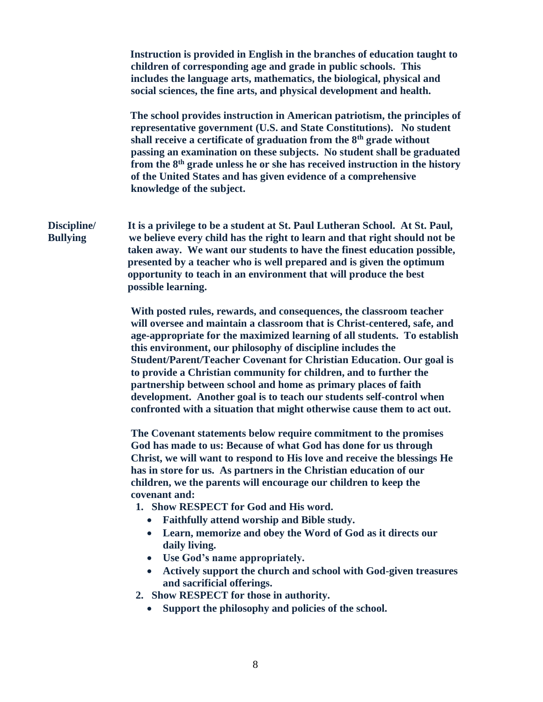|                                | Instruction is provided in English in the branches of education taught to<br>children of corresponding age and grade in public schools. This<br>includes the language arts, mathematics, the biological, physical and<br>social sciences, the fine arts, and physical development and health.                                                                                                                                                                                                                                                                                                                                                                                                                                                                                                                 |
|--------------------------------|---------------------------------------------------------------------------------------------------------------------------------------------------------------------------------------------------------------------------------------------------------------------------------------------------------------------------------------------------------------------------------------------------------------------------------------------------------------------------------------------------------------------------------------------------------------------------------------------------------------------------------------------------------------------------------------------------------------------------------------------------------------------------------------------------------------|
|                                | The school provides instruction in American patriotism, the principles of<br>representative government (U.S. and State Constitutions). No student<br>shall receive a certificate of graduation from the 8 <sup>th</sup> grade without<br>passing an examination on these subjects. No student shall be graduated<br>from the 8 <sup>th</sup> grade unless he or she has received instruction in the history<br>of the United States and has given evidence of a comprehensive<br>knowledge of the subject.                                                                                                                                                                                                                                                                                                    |
| Discipline/<br><b>Bullying</b> | It is a privilege to be a student at St. Paul Lutheran School. At St. Paul,<br>we believe every child has the right to learn and that right should not be<br>taken away. We want our students to have the finest education possible,<br>presented by a teacher who is well prepared and is given the optimum<br>opportunity to teach in an environment that will produce the best<br>possible learning.                                                                                                                                                                                                                                                                                                                                                                                                       |
|                                | With posted rules, rewards, and consequences, the classroom teacher<br>will oversee and maintain a classroom that is Christ-centered, safe, and<br>age-appropriate for the maximized learning of all students. To establish<br>this environment, our philosophy of discipline includes the<br>Student/Parent/Teacher Covenant for Christian Education. Our goal is<br>to provide a Christian community for children, and to further the<br>partnership between school and home as primary places of faith<br>development. Another goal is to teach our students self-control when<br>confronted with a situation that might otherwise cause them to act out.                                                                                                                                                  |
|                                | The Covenant statements below require commitment to the promises<br>God has made to us: Because of what God has done for us through<br>Christ, we will want to respond to His love and receive the blessings He<br>has in store for us. As partners in the Christian education of our<br>children, we the parents will encourage our children to keep the<br>covenant and:<br>1. Show RESPECT for God and His word.<br>Faithfully attend worship and Bible study.<br>Learn, memorize and obey the Word of God as it directs our<br>$\bullet$<br>daily living.<br>Use God's name appropriately.<br>$\bullet$<br>Actively support the church and school with God-given treasures<br>and sacrificial offerings.<br>2. Show RESPECT for those in authority.<br>Support the philosophy and policies of the school. |
|                                |                                                                                                                                                                                                                                                                                                                                                                                                                                                                                                                                                                                                                                                                                                                                                                                                               |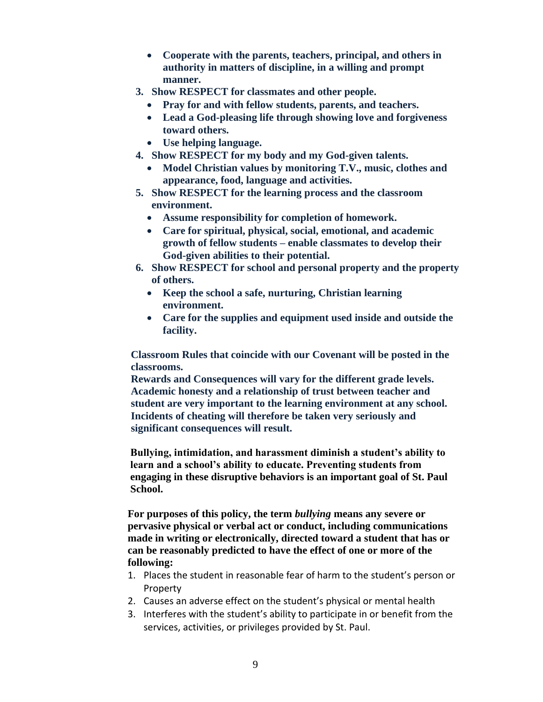- **Cooperate with the parents, teachers, principal, and others in authority in matters of discipline, in a willing and prompt manner.**
- **3. Show RESPECT for classmates and other people.**
	- **Pray for and with fellow students, parents, and teachers.**
	- **Lead a God-pleasing life through showing love and forgiveness toward others.**
	- **Use helping language.**
- **4. Show RESPECT for my body and my God-given talents.**
	- **Model Christian values by monitoring T.V., music, clothes and appearance, food, language and activities.**
- **5. Show RESPECT for the learning process and the classroom environment.**
	- **Assume responsibility for completion of homework.**
	- **Care for spiritual, physical, social, emotional, and academic growth of fellow students – enable classmates to develop their God-given abilities to their potential.**
- **6. Show RESPECT for school and personal property and the property of others.**
	- **Keep the school a safe, nurturing, Christian learning environment.**
	- **Care for the supplies and equipment used inside and outside the facility.**

**Classroom Rules that coincide with our Covenant will be posted in the classrooms.**

**Rewards and Consequences will vary for the different grade levels. Academic honesty and a relationship of trust between teacher and student are very important to the learning environment at any school. Incidents of cheating will therefore be taken very seriously and significant consequences will result.**

 **Bullying, intimidation, and harassment diminish a student's ability to learn and a school's ability to educate. Preventing students from engaging in these disruptive behaviors is an important goal of St. Paul School.**

 **For purposes of this policy, the term** *bullying* **means any severe or pervasive physical or verbal act or conduct, including communications made in writing or electronically, directed toward a student that has or can be reasonably predicted to have the effect of one or more of the following:**

- 1. Places the student in reasonable fear of harm to the student's person or Property
- 2. Causes an adverse effect on the student's physical or mental health
- 3. Interferes with the student's ability to participate in or benefit from the services, activities, or privileges provided by St. Paul.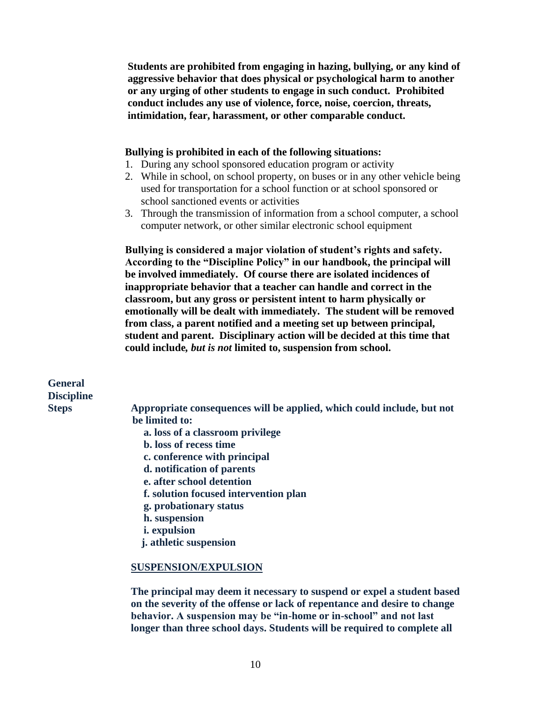**Students are prohibited from engaging in hazing, bullying, or any kind of aggressive behavior that does physical or psychological harm to another or any urging of other students to engage in such conduct. Prohibited conduct includes any use of violence, force, noise, coercion, threats, intimidation, fear, harassment, or other comparable conduct.** 

#### **Bullying is prohibited in each of the following situations:**

- 1. During any school sponsored education program or activity
- 2. While in school, on school property, on buses or in any other vehicle being used for transportation for a school function or at school sponsored or school sanctioned events or activities
- 3. Through the transmission of information from a school computer, a school computer network, or other similar electronic school equipment

 **Bullying is considered a major violation of student's rights and safety. According to the "Discipline Policy" in our handbook, the principal will be involved immediately. Of course there are isolated incidences of inappropriate behavior that a teacher can handle and correct in the classroom, but any gross or persistent intent to harm physically or emotionally will be dealt with immediately. The student will be removed from class, a parent notified and a meeting set up between principal, student and parent. Disciplinary action will be decided at this time that could include***, but is not* **limited to, suspension from school.**

**General Discipline**

**Steps Appropriate consequences will be applied, which could include, but not be limited to:**

- **a. loss of a classroom privilege**
- **b. loss of recess time**
- **c. conference with principal**
- **d. notification of parents**
- **e. after school detention**
- **f. solution focused intervention plan**
- **g. probationary status**
- **h. suspension**
- **i. expulsion**
- **j. athletic suspension**

#### **SUSPENSION/EXPULSION**

**The principal may deem it necessary to suspend or expel a student based on the severity of the offense or lack of repentance and desire to change behavior. A suspension may be "in-home or in-school" and not last longer than three school days. Students will be required to complete all**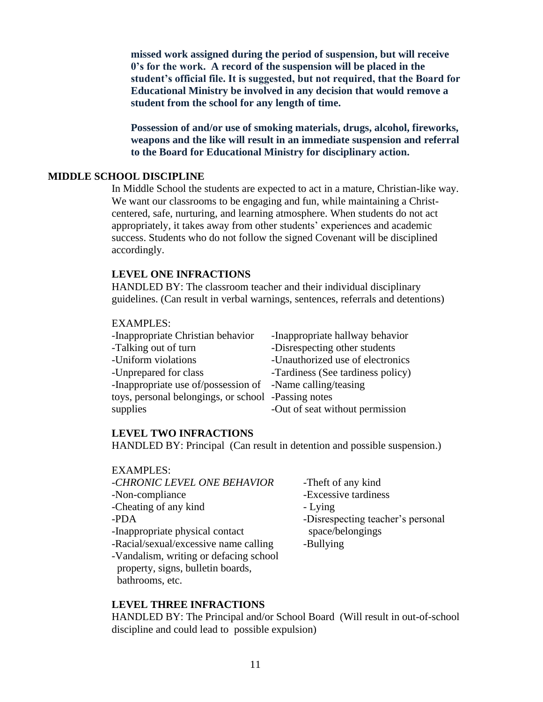**missed work assigned during the period of suspension, but will receive 0's for the work. A record of the suspension will be placed in the student's official file. It is suggested, but not required, that the Board for Educational Ministry be involved in any decision that would remove a student from the school for any length of time.**

**Possession of and/or use of smoking materials, drugs, alcohol, fireworks, weapons and the like will result in an immediate suspension and referral to the Board for Educational Ministry for disciplinary action.**

### **MIDDLE SCHOOL DISCIPLINE**

In Middle School the students are expected to act in a mature, Christian-like way. We want our classrooms to be engaging and fun, while maintaining a Christcentered, safe, nurturing, and learning atmosphere. When students do not act appropriately, it takes away from other students' experiences and academic success. Students who do not follow the signed Covenant will be disciplined accordingly.

#### **LEVEL ONE INFRACTIONS**

HANDLED BY: The classroom teacher and their individual disciplinary guidelines. (Can result in verbal warnings, sentences, referrals and detentions)

#### EXAMPLES:

| -Inappropriate Christian behavior                         | -Inappropriate hallway behavior   |
|-----------------------------------------------------------|-----------------------------------|
| -Talking out of turn                                      | -Disrespecting other students     |
| -Uniform violations                                       | -Unauthorized use of electronics  |
| -Unprepared for class                                     | -Tardiness (See tardiness policy) |
| -Inappropriate use of/possession of -Name calling/teasing |                                   |
| toys, personal belongings, or school -Passing notes       |                                   |
| supplies                                                  | -Out of seat without permission   |

#### **LEVEL TWO INFRACTIONS**

HANDLED BY: Principal (Can result in detention and possible suspension.)

| <b>EXAMPLES:</b>                       |                                   |
|----------------------------------------|-----------------------------------|
| -CHRONIC LEVEL ONE BEHAVIOR            | -Theft of any kind                |
| -Non-compliance                        | -Excessive tardiness              |
| -Cheating of any kind                  | - Lying                           |
| -PDA                                   | -Disrespecting teacher's personal |
| -Inappropriate physical contact        | space/belongings                  |
| -Racial/sexual/excessive name calling  | -Bullying                         |
| -Vandalism, writing or defacing school |                                   |
| property, signs, bulletin boards,      |                                   |

#### **LEVEL THREE INFRACTIONS**

bathrooms, etc.

HANDLED BY: The Principal and/or School Board (Will result in out-of-school discipline and could lead to possible expulsion)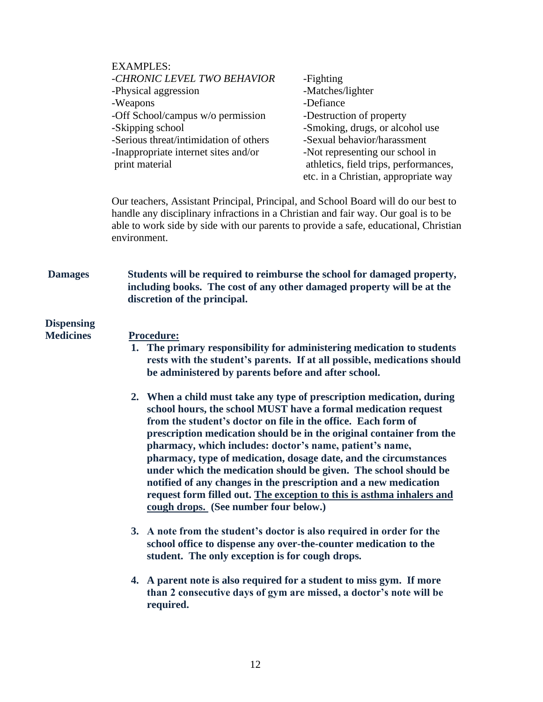|                                       | <b>EXAMPLES:</b><br>-CHRONIC LEVEL TWO BEHAVIOR<br>-Physical aggression<br>-Weapons<br>-Off School/campus w/o permission<br>-Skipping school<br>-Serious threat/intimidation of others<br>-Inappropriate internet sites and/or<br>print material                                 | -Fighting<br>-Matches/lighter<br>-Defiance<br>-Destruction of property<br>-Smoking, drugs, or alcohol use<br>-Sexual behavior/harassment<br>-Not representing our school in<br>athletics, field trips, performances,<br>etc. in a Christian, appropriate way                                                                                                                                                                                                                                         |
|---------------------------------------|----------------------------------------------------------------------------------------------------------------------------------------------------------------------------------------------------------------------------------------------------------------------------------|------------------------------------------------------------------------------------------------------------------------------------------------------------------------------------------------------------------------------------------------------------------------------------------------------------------------------------------------------------------------------------------------------------------------------------------------------------------------------------------------------|
|                                       | Our teachers, Assistant Principal, Principal, and School Board will do our best to<br>handle any disciplinary infractions in a Christian and fair way. Our goal is to be<br>able to work side by side with our parents to provide a safe, educational, Christian<br>environment. |                                                                                                                                                                                                                                                                                                                                                                                                                                                                                                      |
| <b>Damages</b>                        | including books. The cost of any other damaged property will be at the<br>discretion of the principal.                                                                                                                                                                           | Students will be required to reimburse the school for damaged property,                                                                                                                                                                                                                                                                                                                                                                                                                              |
| <b>Dispensing</b><br><b>Medicines</b> | <b>Procedure:</b><br>be administered by parents before and after school.                                                                                                                                                                                                         | 1. The primary responsibility for administering medication to students<br>rests with the student's parents. If at all possible, medications should                                                                                                                                                                                                                                                                                                                                                   |
|                                       | from the student's doctor on file in the office. Each form of<br>pharmacy, which includes: doctor's name, patient's name,<br>cough drops. (See number four below.)                                                                                                               | 2. When a child must take any type of prescription medication, during<br>school hours, the school MUST have a formal medication request<br>prescription medication should be in the original container from the<br>pharmacy, type of medication, dosage date, and the circumstances<br>under which the medication should be given. The school should be<br>notified of any changes in the prescription and a new medication<br>request form filled out. The exception to this is asthma inhalers and |
|                                       | 3. A note from the student's doctor is also required in order for the<br>student. The only exception is for cough drops.                                                                                                                                                         | school office to dispense any over-the-counter medication to the                                                                                                                                                                                                                                                                                                                                                                                                                                     |
|                                       | 4. A parent note is also required for a student to miss gym. If more<br>required.                                                                                                                                                                                                | than 2 consecutive days of gym are missed, a doctor's note will be                                                                                                                                                                                                                                                                                                                                                                                                                                   |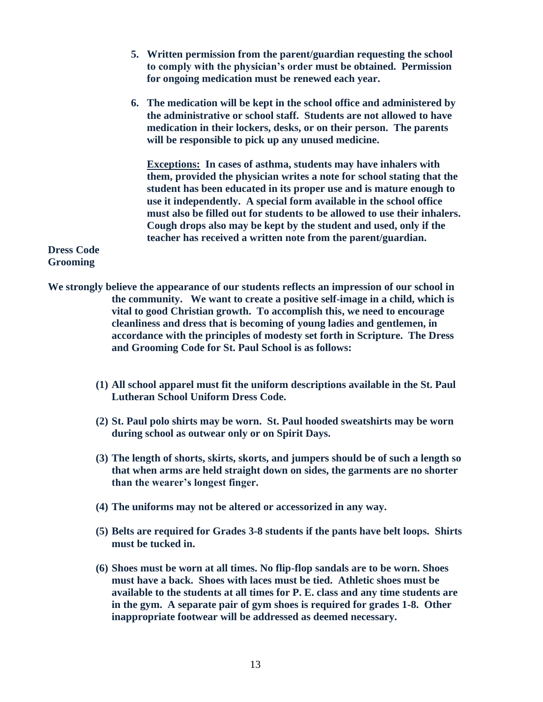- **5. Written permission from the parent/guardian requesting the school to comply with the physician's order must be obtained. Permission for ongoing medication must be renewed each year.**
- **6. The medication will be kept in the school office and administered by the administrative or school staff. Students are not allowed to have medication in their lockers, desks, or on their person. The parents will be responsible to pick up any unused medicine.**

**Exceptions: In cases of asthma, students may have inhalers with them, provided the physician writes a note for school stating that the student has been educated in its proper use and is mature enough to use it independently. A special form available in the school office must also be filled out for students to be allowed to use their inhalers. Cough drops also may be kept by the student and used, only if the teacher has received a written note from the parent/guardian.**

**Dress Code Grooming**

- **We strongly believe the appearance of our students reflects an impression of our school in the community. We want to create a positive self-image in a child, which is vital to good Christian growth. To accomplish this, we need to encourage cleanliness and dress that is becoming of young ladies and gentlemen, in accordance with the principles of modesty set forth in Scripture. The Dress and Grooming Code for St. Paul School is as follows:**
	- **(1) All school apparel must fit the uniform descriptions available in the St. Paul Lutheran School Uniform Dress Code.**
	- **(2) St. Paul polo shirts may be worn. St. Paul hooded sweatshirts may be worn during school as outwear only or on Spirit Days.**
	- **(3) The length of shorts, skirts, skorts, and jumpers should be of such a length so that when arms are held straight down on sides, the garments are no shorter than the wearer's longest finger.**
	- **(4) The uniforms may not be altered or accessorized in any way.**
	- **(5) Belts are required for Grades 3-8 students if the pants have belt loops. Shirts must be tucked in.**
	- **(6) Shoes must be worn at all times. No flip-flop sandals are to be worn. Shoes must have a back. Shoes with laces must be tied. Athletic shoes must be available to the students at all times for P. E. class and any time students are in the gym. A separate pair of gym shoes is required for grades 1-8. Other inappropriate footwear will be addressed as deemed necessary.**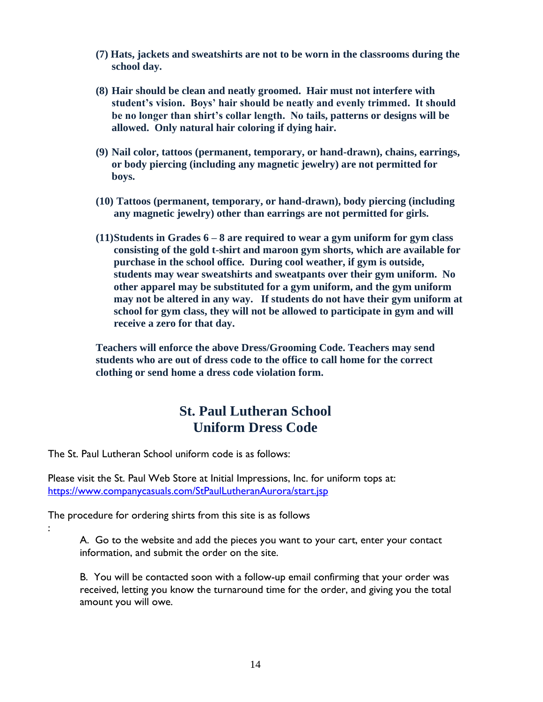- **(7) Hats, jackets and sweatshirts are not to be worn in the classrooms during the school day.**
- **(8) Hair should be clean and neatly groomed. Hair must not interfere with student's vision. Boys' hair should be neatly and evenly trimmed. It should be no longer than shirt's collar length. No tails, patterns or designs will be allowed. Only natural hair coloring if dying hair.**
- **(9) Nail color, tattoos (permanent, temporary, or hand-drawn), chains, earrings, or body piercing (including any magnetic jewelry) are not permitted for boys.**
- **(10) Tattoos (permanent, temporary, or hand-drawn), body piercing (including any magnetic jewelry) other than earrings are not permitted for girls.**
- **(11)Students in Grades 6 – 8 are required to wear a gym uniform for gym class consisting of the gold t-shirt and maroon gym shorts, which are available for purchase in the school office. During cool weather, if gym is outside, students may wear sweatshirts and sweatpants over their gym uniform. No other apparel may be substituted for a gym uniform, and the gym uniform may not be altered in any way. If students do not have their gym uniform at school for gym class, they will not be allowed to participate in gym and will receive a zero for that day.**

**Teachers will enforce the above Dress/Grooming Code. Teachers may send students who are out of dress code to the office to call home for the correct clothing or send home a dress code violation form.**

# **St. Paul Lutheran School Uniform Dress Code**

The St. Paul Lutheran School uniform code is as follows:

Please visit the St. Paul Web Store at Initial Impressions, Inc. for uniform tops at: <https://www.companycasuals.com/StPaulLutheranAurora/start.jsp>

The procedure for ordering shirts from this site is as follows

:

A. Go to the website and add the pieces you want to your cart, enter your contact information, and submit the order on the site.

B. You will be contacted soon with a follow-up email confirming that your order was received, letting you know the turnaround time for the order, and giving you the total amount you will owe.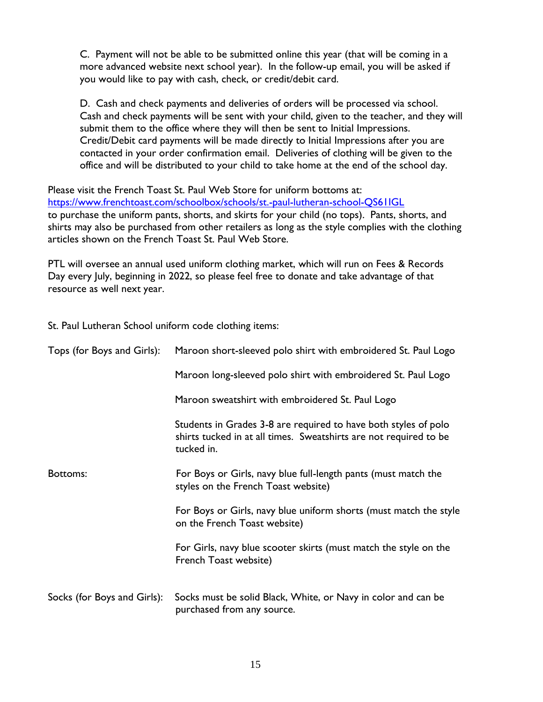C. Payment will not be able to be submitted online this year (that will be coming in a more advanced website next school year). In the follow-up email, you will be asked if you would like to pay with cash, check, or credit/debit card.

D. Cash and check payments and deliveries of orders will be processed via school. Cash and check payments will be sent with your child, given to the teacher, and they will submit them to the office where they will then be sent to Initial Impressions. Credit/Debit card payments will be made directly to Initial Impressions after you are contacted in your order confirmation email. Deliveries of clothing will be given to the office and will be distributed to your child to take home at the end of the school day.

Please visit the French Toast St. Paul Web Store for uniform bottoms at: <https://www.frenchtoast.com/schoolbox/schools/st.-paul-lutheran-school-QS61IGL> to purchase the uniform pants, shorts, and skirts for your child (no tops). Pants, shorts, and shirts may also be purchased from other retailers as long as the style complies with the clothing articles shown on the French Toast St. Paul Web Store.

PTL will oversee an annual used uniform clothing market, which will run on Fees & Records Day every July, beginning in 2022, so please feel free to donate and take advantage of that resource as well next year.

St. Paul Lutheran School uniform code clothing items:

| Tops (for Boys and Girls):  | Maroon short-sleeved polo shirt with embroidered St. Paul Logo                                                                                     |
|-----------------------------|----------------------------------------------------------------------------------------------------------------------------------------------------|
|                             | Maroon long-sleeved polo shirt with embroidered St. Paul Logo                                                                                      |
|                             | Maroon sweatshirt with embroidered St. Paul Logo                                                                                                   |
|                             | Students in Grades 3-8 are required to have both styles of polo<br>shirts tucked in at all times. Sweatshirts are not required to be<br>tucked in. |
| Bottoms:                    | For Boys or Girls, navy blue full-length pants (must match the<br>styles on the French Toast website)                                              |
|                             | For Boys or Girls, navy blue uniform shorts (must match the style<br>on the French Toast website)                                                  |
|                             | For Girls, navy blue scooter skirts (must match the style on the<br>French Toast website)                                                          |
| Socks (for Boys and Girls): | Socks must be solid Black, White, or Navy in color and can be<br>purchased from any source.                                                        |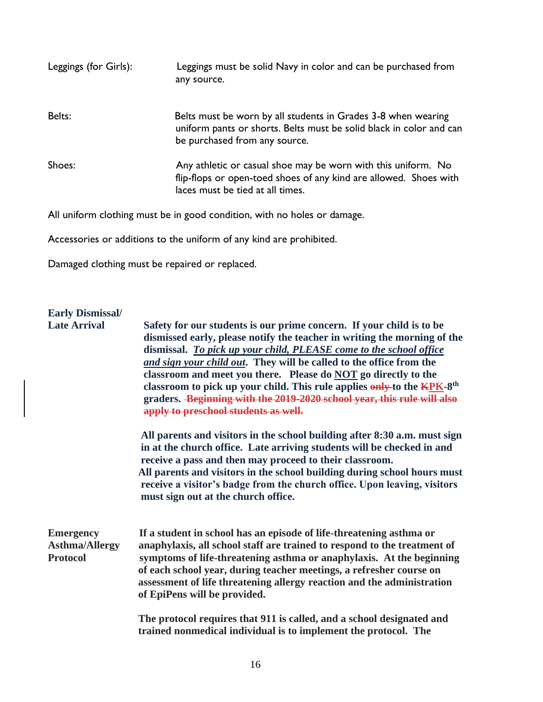| Leggings (for Girls): | Leggings must be solid Navy in color and can be purchased from<br>any source.                                                                                          |
|-----------------------|------------------------------------------------------------------------------------------------------------------------------------------------------------------------|
| Belts:                | Belts must be worn by all students in Grades 3-8 when wearing<br>uniform pants or shorts. Belts must be solid black in color and can<br>be purchased from any source.  |
| Shoes:                | Any athletic or casual shoe may be worn with this uniform. No<br>flip-flops or open-toed shoes of any kind are allowed. Shoes with<br>laces must be tied at all times. |

All uniform clothing must be in good condition, with no holes or damage.

Accessories or additions to the uniform of any kind are prohibited.

Damaged clothing must be repaired or replaced.

# **Early Dismissal/**

| <b>Late Arrival</b>                                          | Safety for our students is our prime concern. If your child is to be<br>dismissed early, please notify the teacher in writing the morning of the<br>dismissal. To pick up your child, PLEASE come to the school office<br>and sign your child out. They will be called to the office from the<br>classroom and meet you there. Please do NOT go directly to the<br>classroom to pick up your child. This rule applies only to the KPK-8 <sup>th</sup><br>graders. Beginning with the 2019-2020 school year, this rule will also<br>apply to preschool students as well. |
|--------------------------------------------------------------|-------------------------------------------------------------------------------------------------------------------------------------------------------------------------------------------------------------------------------------------------------------------------------------------------------------------------------------------------------------------------------------------------------------------------------------------------------------------------------------------------------------------------------------------------------------------------|
|                                                              | All parents and visitors in the school building after 8:30 a.m. must sign<br>in at the church office. Late arriving students will be checked in and<br>receive a pass and then may proceed to their classroom.<br>All parents and visitors in the school building during school hours must<br>receive a visitor's badge from the church office. Upon leaving, visitors<br>must sign out at the church office.                                                                                                                                                           |
| <b>Emergency</b><br><b>Asthma/Allergy</b><br><b>Protocol</b> | If a student in school has an episode of life-threatening asthma or<br>anaphylaxis, all school staff are trained to respond to the treatment of<br>symptoms of life-threatening asthma or anaphylaxis. At the beginning<br>of each school year, during teacher meetings, a refresher course on<br>assessment of life threatening allergy reaction and the administration<br>of EpiPens will be provided.                                                                                                                                                                |
|                                                              | The protocol requires that 911 is called, and a school designated and<br>trained nonmedical individual is to implement the protocol. The                                                                                                                                                                                                                                                                                                                                                                                                                                |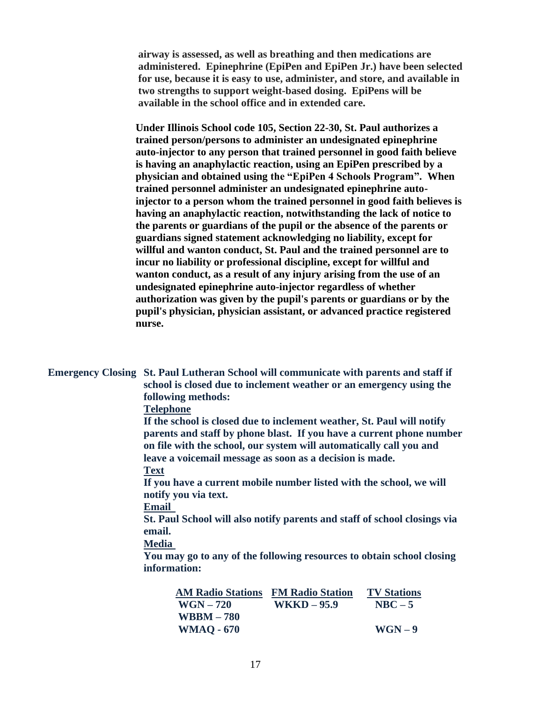**airway is assessed, as well as breathing and then medications are administered. Epinephrine (EpiPen and EpiPen Jr.) have been selected for use, because it is easy to use, administer, and store, and available in two strengths to support weight-based dosing. EpiPens will be available in the school office and in extended care.**

 **Under Illinois School code 105, Section 22-30, St. Paul authorizes a trained person/persons to administer an undesignated epinephrine auto-injector to any person that trained personnel in good faith believe is having an anaphylactic reaction, using an EpiPen prescribed by a physician and obtained using the "EpiPen 4 Schools Program". When trained personnel administer an undesignated epinephrine auto injector to a person whom the trained personnel in good faith believes is having an anaphylactic reaction, notwithstanding the lack of notice to the parents or guardians of the pupil or the absence of the parents or guardians signed statement acknowledging no liability, except for willful and wanton conduct, St. Paul and the trained personnel are to incur no liability or professional discipline, except for willful and wanton conduct, as a result of any injury arising from the use of an undesignated epinephrine auto-injector regardless of whether authorization was given by the pupil's parents or guardians or by the pupil's physician, physician assistant, or advanced practice registered nurse.**

**Emergency Closing St. Paul Lutheran School will communicate with parents and staff if school is closed due to inclement weather or an emergency using the following methods:** 

#### **Telephone**

**If the school is closed due to inclement weather, St. Paul will notify parents and staff by phone blast. If you have a current phone number on file with the school, our system will automatically call you and leave a voicemail message as soon as a decision is made.**

**Text**

**If you have a current mobile number listed with the school, we will notify you via text.**

**Email**

**St. Paul School will also notify parents and staff of school closings via email.**

**Media**

**You may go to any of the following resources to obtain school closing information:** 

| <b>AM Radio Stations</b> | <b>FM Radio Station</b> | <b>TV Stations</b> |
|--------------------------|-------------------------|--------------------|
| $WGN-720$                | $WKKD - 95.9$           | $NBC-5$            |
| $WBBM-780$               |                         |                    |
| <b>WMAQ - 670</b>        |                         | $WGN-9$            |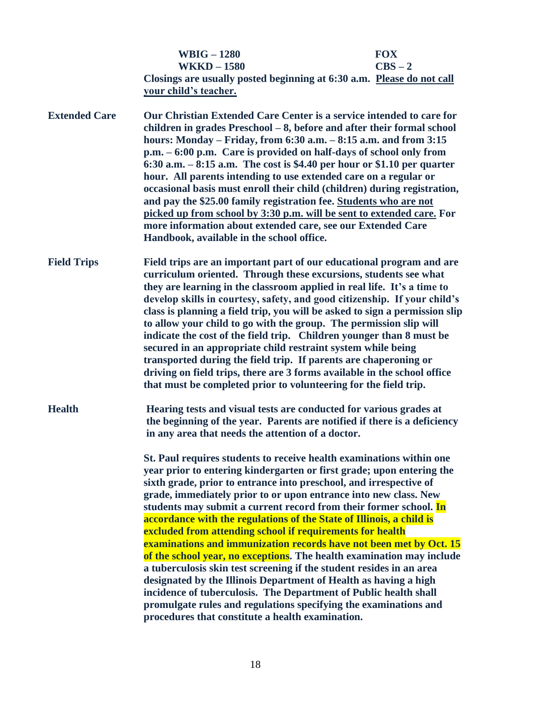|                      | <b>WBIG - 1280</b>                                                                                                                                                                                                                                                                                                                                                                                                                                                                                                                                                                                                                                                                                                                                                                                                | <b>FOX</b>                                                                                                                                                                                                                                                                                                                                                                                                                            |
|----------------------|-------------------------------------------------------------------------------------------------------------------------------------------------------------------------------------------------------------------------------------------------------------------------------------------------------------------------------------------------------------------------------------------------------------------------------------------------------------------------------------------------------------------------------------------------------------------------------------------------------------------------------------------------------------------------------------------------------------------------------------------------------------------------------------------------------------------|---------------------------------------------------------------------------------------------------------------------------------------------------------------------------------------------------------------------------------------------------------------------------------------------------------------------------------------------------------------------------------------------------------------------------------------|
|                      | <b>WKKD-1580</b>                                                                                                                                                                                                                                                                                                                                                                                                                                                                                                                                                                                                                                                                                                                                                                                                  | $CBS - 2$<br>Closings are usually posted beginning at 6:30 a.m. Please do not call                                                                                                                                                                                                                                                                                                                                                    |
|                      | your child's teacher.                                                                                                                                                                                                                                                                                                                                                                                                                                                                                                                                                                                                                                                                                                                                                                                             |                                                                                                                                                                                                                                                                                                                                                                                                                                       |
| <b>Extended Care</b> | Our Christian Extended Care Center is a service intended to care for<br>children in grades Preschool - 8, before and after their formal school<br>hours: Monday – Friday, from $6:30$ a.m. $-8:15$ a.m. and from $3:15$<br>p.m. – 6:00 p.m. Care is provided on half-days of school only from<br>6:30 a.m. $-8:15$ a.m. The cost is \$4.40 per hour or \$1.10 per quarter<br>hour. All parents intending to use extended care on a regular or<br>occasional basis must enroll their child (children) during registration,<br>and pay the \$25.00 family registration fee. Students who are not<br>picked up from school by 3:30 p.m. will be sent to extended care. For<br>more information about extended care, see our Extended Care<br>Handbook, available in the school office.                               |                                                                                                                                                                                                                                                                                                                                                                                                                                       |
| <b>Field Trips</b>   | Field trips are an important part of our educational program and are<br>curriculum oriented. Through these excursions, students see what<br>they are learning in the classroom applied in real life. It's a time to<br>develop skills in courtesy, safety, and good citizenship. If your child's<br>class is planning a field trip, you will be asked to sign a permission slip<br>to allow your child to go with the group. The permission slip will<br>indicate the cost of the field trip. Children younger than 8 must be<br>secured in an appropriate child restraint system while being<br>transported during the field trip. If parents are chaperoning or<br>driving on field trips, there are 3 forms available in the school office<br>that must be completed prior to volunteering for the field trip. |                                                                                                                                                                                                                                                                                                                                                                                                                                       |
| <b>Health</b>        | in any area that needs the attention of a doctor.                                                                                                                                                                                                                                                                                                                                                                                                                                                                                                                                                                                                                                                                                                                                                                 | Hearing tests and visual tests are conducted for various grades at<br>the beginning of the year. Parents are notified if there is a deficiency                                                                                                                                                                                                                                                                                        |
|                      | sixth grade, prior to entrance into preschool, and irrespective of<br>grade, immediately prior to or upon entrance into new class. New<br>accordance with the regulations of the State of Illinois, a child is<br>excluded from attending school if requirements for health<br>a tuberculosis skin test screening if the student resides in an area<br>designated by the Illinois Department of Health as having a high<br>incidence of tuberculosis. The Department of Public health shall<br>procedures that constitute a health examination.                                                                                                                                                                                                                                                                   | St. Paul requires students to receive health examinations within one<br>year prior to entering kindergarten or first grade; upon entering the<br>students may submit a current record from their former school. In<br>examinations and immunization records have not been met by Oct. 15<br>of the school year, no exceptions. The health examination may include<br>promulgate rules and regulations specifying the examinations and |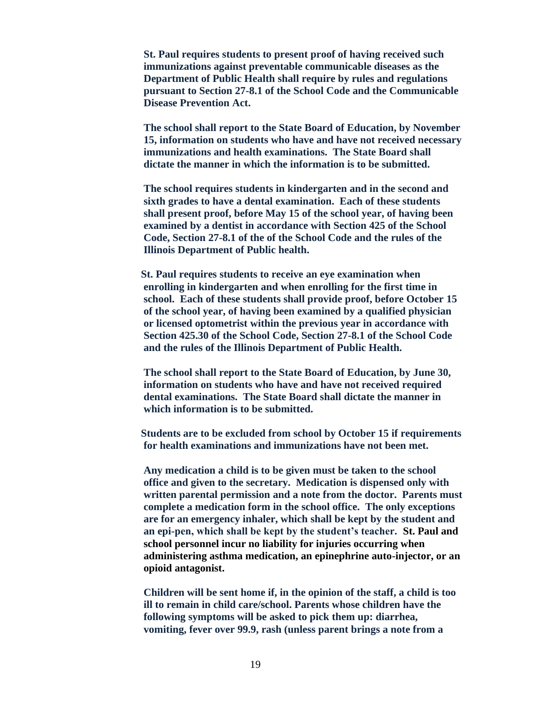**St. Paul requires students to present proof of having received such immunizations against preventable communicable diseases as the Department of Public Health shall require by rules and regulations pursuant to Section 27-8.1 of the School Code and the Communicable Disease Prevention Act.** 

 **The school shall report to the State Board of Education, by November 15, information on students who have and have not received necessary immunizations and health examinations. The State Board shall dictate the manner in which the information is to be submitted.**

 **The school requires students in kindergarten and in the second and sixth grades to have a dental examination. Each of these students shall present proof, before May 15 of the school year, of having been examined by a dentist in accordance with Section 425 of the School Code, Section 27-8.1 of the of the School Code and the rules of the Illinois Department of Public health.**

 **St. Paul requires students to receive an eye examination when enrolling in kindergarten and when enrolling for the first time in school. Each of these students shall provide proof, before October 15 of the school year, of having been examined by a qualified physician or licensed optometrist within the previous year in accordance with Section 425.30 of the School Code, Section 27-8.1 of the School Code and the rules of the Illinois Department of Public Health.** 

**The school shall report to the State Board of Education, by June 30, information on students who have and have not received required dental examinations. The State Board shall dictate the manner in which information is to be submitted.**

 **Students are to be excluded from school by October 15 if requirements for health examinations and immunizations have not been met.**

 **Any medication a child is to be given must be taken to the school office and given to the secretary. Medication is dispensed only with written parental permission and a note from the doctor. Parents must complete a medication form in the school office. The only exceptions are for an emergency inhaler, which shall be kept by the student and an epi-pen, which shall be kept by the student's teacher. St. Paul and school personnel incur no liability for injuries occurring when administering asthma medication, an epinephrine auto-injector, or an opioid antagonist.**

 **Children will be sent home if, in the opinion of the staff, a child is too ill to remain in child care/school. Parents whose children have the following symptoms will be asked to pick them up: diarrhea, vomiting, fever over 99.9, rash (unless parent brings a note from a**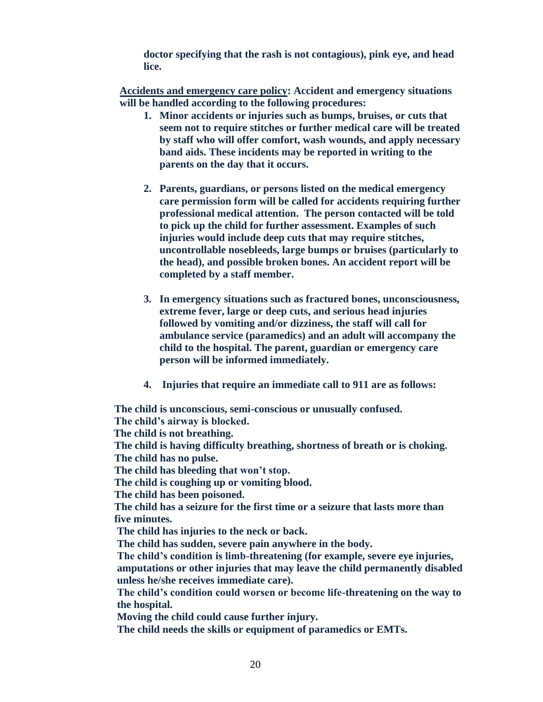**doctor specifying that the rash is not contagious), pink eye, and head lice.**

**Accidents and emergency care policy: Accident and emergency situations will be handled according to the following procedures:**

- **1. Minor accidents or injuries such as bumps, bruises, or cuts that seem not to require stitches or further medical care will be treated by staff who will offer comfort, wash wounds, and apply necessary band aids. These incidents may be reported in writing to the parents on the day that it occurs.**
- **2. Parents, guardians, or persons listed on the medical emergency care permission form will be called for accidents requiring further professional medical attention. The person contacted will be told to pick up the child for further assessment. Examples of such injuries would include deep cuts that may require stitches, uncontrollable nosebleeds, large bumps or bruises (particularly to the head), and possible broken bones. An accident report will be completed by a staff member.**
- **3. In emergency situations such as fractured bones, unconsciousness, extreme fever, large or deep cuts, and serious head injuries followed by vomiting and/or dizziness, the staff will call for ambulance service (paramedics) and an adult will accompany the child to the hospital. The parent, guardian or emergency care person will be informed immediately.**
- **4. Injuries that require an immediate call to 911 are as follows:**

 **The child is unconscious, semi-conscious or unusually confused.** 

 **The child's airway is blocked.** 

 **The child is not breathing.** 

 **The child is having difficulty breathing, shortness of breath or is choking. The child has no pulse.** 

 **The child has bleeding that won't stop.** 

 **The child is coughing up or vomiting blood.** 

 **The child has been poisoned.** 

 **The child has a seizure for the first time or a seizure that lasts more than five minutes.** 

 **The child has injuries to the neck or back.** 

 **The child has sudden, severe pain anywhere in the body.** 

 **The child's condition is limb-threatening (for example, severe eye injuries, amputations or other injuries that may leave the child permanently disabled unless he/she receives immediate care).** 

 **The child's condition could worsen or become life-threatening on the way to the hospital.** 

 **Moving the child could cause further injury.** 

 **The child needs the skills or equipment of paramedics or EMTs.**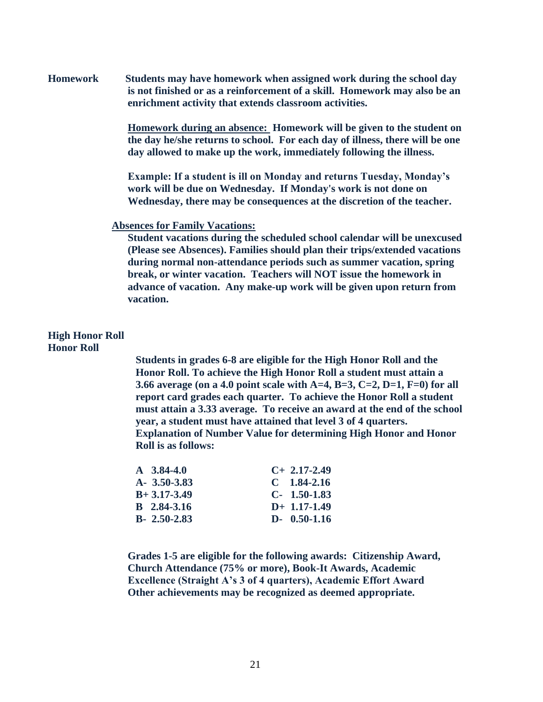**Homework Students may have homework when assigned work during the school day is not finished or as a reinforcement of a skill. Homework may also be an enrichment activity that extends classroom activities.** 

> **Homework during an absence: Homework will be given to the student on the day he/she returns to school. For each day of illness, there will be one day allowed to make up the work, immediately following the illness.**

**Example: If a student is ill on Monday and returns Tuesday, Monday's work will be due on Wednesday. If Monday's work is not done on Wednesday, there may be consequences at the discretion of the teacher.**

#### **Absences for Family Vacations:**

**Student vacations during the scheduled school calendar will be unexcused (Please see Absences). Families should plan their trips/extended vacations during normal non-attendance periods such as summer vacation, spring break, or winter vacation. Teachers will NOT issue the homework in advance of vacation. Any make-up work will be given upon return from vacation.**

#### **High Honor Roll Honor Roll**

**Students in grades 6-8 are eligible for the High Honor Roll and the Honor Roll. To achieve the High Honor Roll a student must attain a 3.66 average (on a 4.0 point scale with A=4, B=3, C=2, D=1, F=0) for all report card grades each quarter. To achieve the Honor Roll a student must attain a 3.33 average. To receive an award at the end of the school year, a student must have attained that level 3 of 4 quarters. Explanation of Number Value for determining High Honor and Honor Roll is as follows:**

| $A \quad 3.84-4.0$ | $C+2.17-2.49$  |
|--------------------|----------------|
| $A - 3.50 - 3.83$  | $C$ 1.84-2.16  |
| $B+3.17-3.49$      | $C-1.50-1.83$  |
| <b>B</b> 2.84-3.16 | $D+ 1.17-1.49$ |
| $B - 2.50 - 2.83$  | $D-0.50-1.16$  |

**Grades 1-5 are eligible for the following awards: Citizenship Award, Church Attendance (75% or more), Book-It Awards, Academic Excellence (Straight A's 3 of 4 quarters), Academic Effort Award Other achievements may be recognized as deemed appropriate.**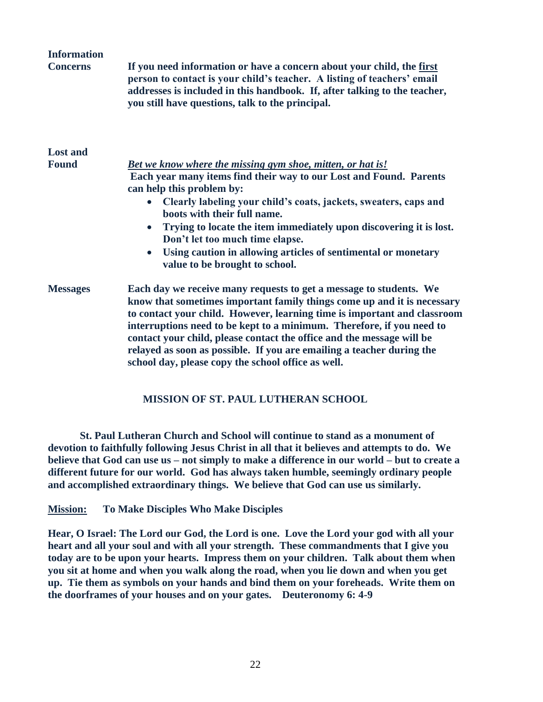| <b>Information</b> |                                                                                                                                                                                                                                                                                                                                                                                                                                                                                                            |
|--------------------|------------------------------------------------------------------------------------------------------------------------------------------------------------------------------------------------------------------------------------------------------------------------------------------------------------------------------------------------------------------------------------------------------------------------------------------------------------------------------------------------------------|
| <b>Concerns</b>    | If you need information or have a concern about your child, the first<br>person to contact is your child's teacher. A listing of teachers' email<br>addresses is included in this handbook. If, after talking to the teacher,<br>you still have questions, talk to the principal.                                                                                                                                                                                                                          |
| <b>Lost and</b>    |                                                                                                                                                                                                                                                                                                                                                                                                                                                                                                            |
| <b>Found</b>       | <u>Bet we know where the missing gym shoe, mitten, or hat is!</u><br>Each year many items find their way to our Lost and Found. Parents<br>can help this problem by:<br>Clearly labeling your child's coats, jackets, sweaters, caps and<br>$\bullet$<br>boots with their full name.<br>Trying to locate the item immediately upon discovering it is lost.<br>$\bullet$<br>Don't let too much time elapse.                                                                                                 |
|                    | Using caution in allowing articles of sentimental or monetary<br>$\bullet$<br>value to be brought to school.                                                                                                                                                                                                                                                                                                                                                                                               |
| <b>Messages</b>    | Each day we receive many requests to get a message to students. We<br>know that sometimes important family things come up and it is necessary<br>to contact your child. However, learning time is important and classroom<br>interruptions need to be kept to a minimum. Therefore, if you need to<br>contact your child, please contact the office and the message will be<br>relayed as soon as possible. If you are emailing a teacher during the<br>school day, please copy the school office as well. |

#### **MISSION OF ST. PAUL LUTHERAN SCHOOL**

**St. Paul Lutheran Church and School will continue to stand as a monument of devotion to faithfully following Jesus Christ in all that it believes and attempts to do. We believe that God can use us – not simply to make a difference in our world – but to create a different future for our world. God has always taken humble, seemingly ordinary people and accomplished extraordinary things. We believe that God can use us similarly.**

**Mission: To Make Disciples Who Make Disciples**

**Hear, O Israel: The Lord our God, the Lord is one. Love the Lord your god with all your heart and all your soul and with all your strength. These commandments that I give you today are to be upon your hearts. Impress them on your children. Talk about them when you sit at home and when you walk along the road, when you lie down and when you get up. Tie them as symbols on your hands and bind them on your foreheads. Write them on the doorframes of your houses and on your gates. Deuteronomy 6: 4-9**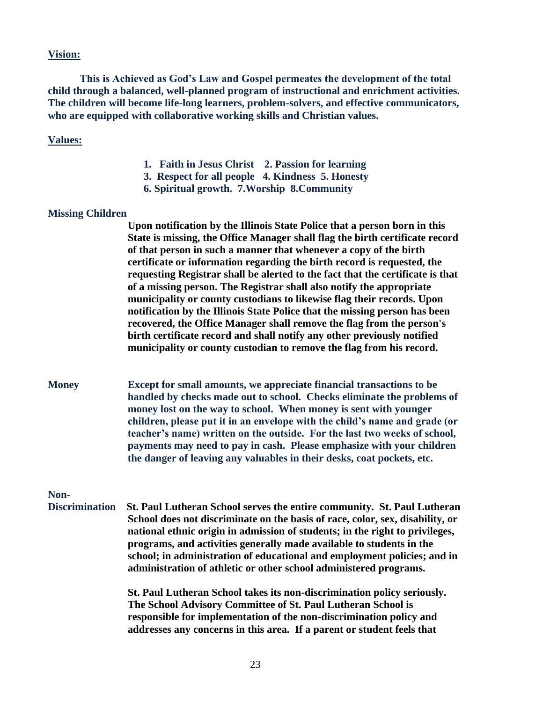#### **Vision:**

**This is Achieved as God's Law and Gospel permeates the development of the total child through a balanced, well-planned program of instructional and enrichment activities. The children will become life-long learners, problem-solvers, and effective communicators, who are equipped with collaborative working skills and Christian values.**

#### **Values:**

- **1. Faith in Jesus Christ 2. Passion for learning**
- **3. Respect for all people 4. Kindness 5. Honesty**
- **6. Spiritual growth. 7.Worship 8.Community**

#### **Missing Children**

 **Upon notification by the Illinois State Police that a person born in this State is missing, the Office Manager shall flag the birth certificate record of that person in such a manner that whenever a copy of the birth certificate or information regarding the birth record is requested, the requesting Registrar shall be alerted to the fact that the certificate is that of a missing person. The Registrar shall also notify the appropriate municipality or county custodians to likewise flag their records. Upon notification by the Illinois State Police that the missing person has been recovered, the Office Manager shall remove the flag from the person's birth certificate record and shall notify any other previously notified municipality or county custodian to remove the flag from his record.**

**Money Except for small amounts, we appreciate financial transactions to be handled by checks made out to school. Checks eliminate the problems of money lost on the way to school. When money is sent with younger children, please put it in an envelope with the child's name and grade (or teacher's name) written on the outside. For the last two weeks of school, payments may need to pay in cash. Please emphasize with your children the danger of leaving any valuables in their desks, coat pockets, etc.**

#### **Non-**

 **Discrimination St. Paul Lutheran School serves the entire community. St. Paul Lutheran School does not discriminate on the basis of race, color, sex, disability, or national ethnic origin in admission of students; in the right to privileges, programs, and activities generally made available to students in the school; in administration of educational and employment policies; and in administration of athletic or other school administered programs.** 

> **St. Paul Lutheran School takes its non-discrimination policy seriously. The School Advisory Committee of St. Paul Lutheran School is responsible for implementation of the non-discrimination policy and addresses any concerns in this area. If a parent or student feels that**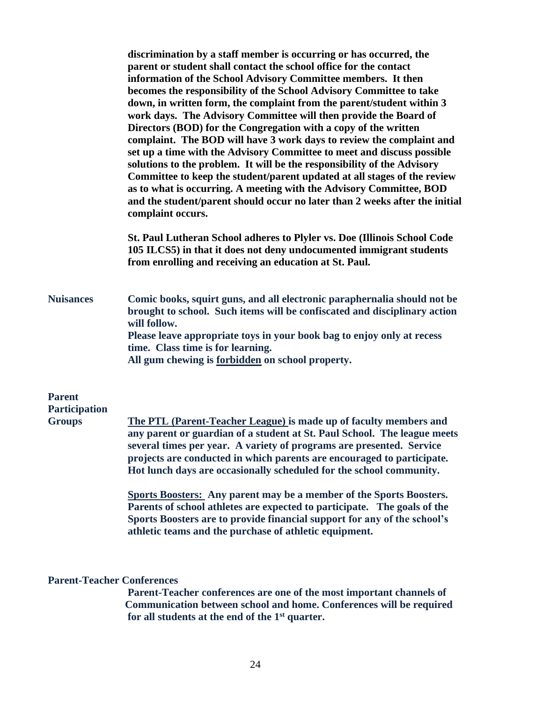|                                                        | discrimination by a staff member is occurring or has occurred, the<br>parent or student shall contact the school office for the contact<br>information of the School Advisory Committee members. It then<br>becomes the responsibility of the School Advisory Committee to take<br>down, in written form, the complaint from the parent/student within 3<br>work days. The Advisory Committee will then provide the Board of<br>Directors (BOD) for the Congregation with a copy of the written<br>complaint. The BOD will have 3 work days to review the complaint and<br>set up a time with the Advisory Committee to meet and discuss possible<br>solutions to the problem. It will be the responsibility of the Advisory<br>Committee to keep the student/parent updated at all stages of the review<br>as to what is occurring. A meeting with the Advisory Committee, BOD<br>and the student/parent should occur no later than 2 weeks after the initial<br>complaint occurs. |  |  |  |
|--------------------------------------------------------|-------------------------------------------------------------------------------------------------------------------------------------------------------------------------------------------------------------------------------------------------------------------------------------------------------------------------------------------------------------------------------------------------------------------------------------------------------------------------------------------------------------------------------------------------------------------------------------------------------------------------------------------------------------------------------------------------------------------------------------------------------------------------------------------------------------------------------------------------------------------------------------------------------------------------------------------------------------------------------------|--|--|--|
|                                                        | St. Paul Lutheran School adheres to Plyler vs. Doe (Illinois School Code<br>105 ILCS5) in that it does not deny undocumented immigrant students<br>from enrolling and receiving an education at St. Paul.                                                                                                                                                                                                                                                                                                                                                                                                                                                                                                                                                                                                                                                                                                                                                                           |  |  |  |
| <b>Nuisances</b>                                       | Comic books, squirt guns, and all electronic paraphernalia should not be<br>brought to school. Such items will be confiscated and disciplinary action<br>will follow.<br>Please leave appropriate toys in your book bag to enjoy only at recess<br>time. Class time is for learning.<br>All gum chewing is forbidden on school property.                                                                                                                                                                                                                                                                                                                                                                                                                                                                                                                                                                                                                                            |  |  |  |
| <b>Parent</b><br><b>Participation</b><br><b>Groups</b> | The PTL (Parent-Teacher League) is made up of faculty members and<br>any parent or guardian of a student at St. Paul School. The league meets<br>several times per year. A variety of programs are presented. Service<br>projects are conducted in which parents are encouraged to participate.<br>Hot lunch days are occasionally scheduled for the school community.                                                                                                                                                                                                                                                                                                                                                                                                                                                                                                                                                                                                              |  |  |  |
|                                                        | <b>Sports Boosters:</b> Any parent may be a member of the Sports Boosters.<br>Parents of school athletes are expected to participate. The goals of the<br>Sports Boosters are to provide financial support for any of the school's<br>athletic teams and the purchase of athletic equipment.                                                                                                                                                                                                                                                                                                                                                                                                                                                                                                                                                                                                                                                                                        |  |  |  |

## **Parent-Teacher Conferences**

 **Parent-Teacher conferences are one of the most important channels of Communication between school and home. Conferences will be required for all students at the end of the 1st quarter.**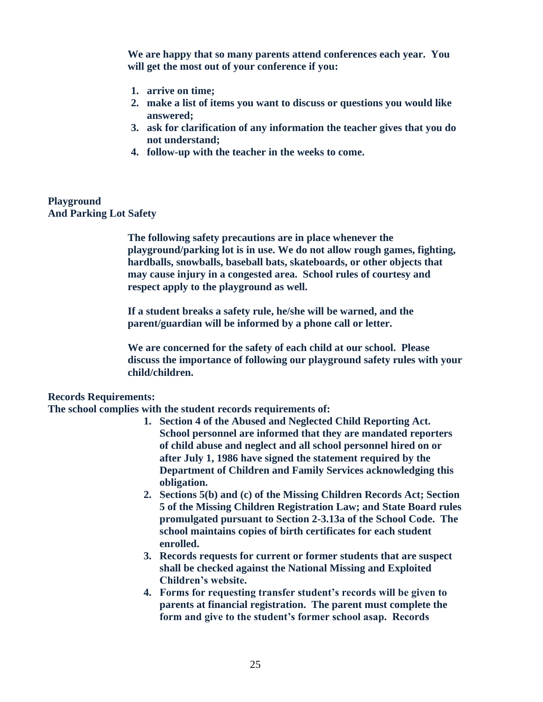**We are happy that so many parents attend conferences each year. You will get the most out of your conference if you:** 

- **1. arrive on time;**
- **2. make a list of items you want to discuss or questions you would like answered;**
- **3. ask for clarification of any information the teacher gives that you do not understand;**
- **4. follow-up with the teacher in the weeks to come.**

#### **Playground And Parking Lot Safety**

**The following safety precautions are in place whenever the playground/parking lot is in use. We do not allow rough games, fighting, hardballs, snowballs, baseball bats, skateboards, or other objects that may cause injury in a congested area. School rules of courtesy and respect apply to the playground as well.** 

**If a student breaks a safety rule, he/she will be warned, and the parent/guardian will be informed by a phone call or letter.** 

**We are concerned for the safety of each child at our school. Please discuss the importance of following our playground safety rules with your child/children.** 

#### **Records Requirements:**

**The school complies with the student records requirements of:**

- **1. Section 4 of the Abused and Neglected Child Reporting Act. School personnel are informed that they are mandated reporters of child abuse and neglect and all school personnel hired on or after July 1, 1986 have signed the statement required by the Department of Children and Family Services acknowledging this obligation.**
- **2. Sections 5(b) and (c) of the Missing Children Records Act; Section 5 of the Missing Children Registration Law; and State Board rules promulgated pursuant to Section 2-3.13a of the School Code. The school maintains copies of birth certificates for each student enrolled.**
- **3. Records requests for current or former students that are suspect shall be checked against the National Missing and Exploited Children's website.**
- **4. Forms for requesting transfer student's records will be given to parents at financial registration. The parent must complete the form and give to the student's former school asap. Records**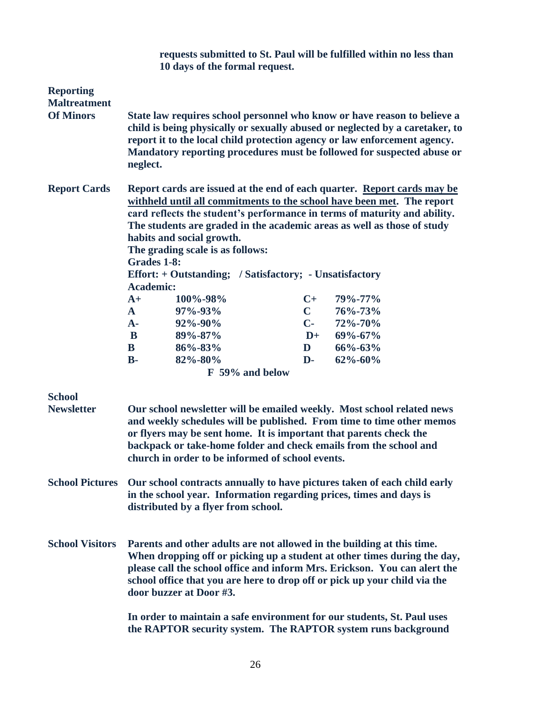|                                         | requests submitted to St. Paul will be fulfilled within no less than<br>10 days of the formal request.                                                                                                                                                                                                                                                                                                                                               |                 |                |               |  |
|-----------------------------------------|------------------------------------------------------------------------------------------------------------------------------------------------------------------------------------------------------------------------------------------------------------------------------------------------------------------------------------------------------------------------------------------------------------------------------------------------------|-----------------|----------------|---------------|--|
| <b>Reporting</b><br><b>Maltreatment</b> |                                                                                                                                                                                                                                                                                                                                                                                                                                                      |                 |                |               |  |
| <b>Of Minors</b>                        | State law requires school personnel who know or have reason to believe a<br>child is being physically or sexually abused or neglected by a caretaker, to<br>report it to the local child protection agency or law enforcement agency.<br>Mandatory reporting procedures must be followed for suspected abuse or<br>neglect.                                                                                                                          |                 |                |               |  |
| <b>Report Cards</b>                     | Report cards are issued at the end of each quarter. Report cards may be<br>withheld until all commitments to the school have been met. The report<br>card reflects the student's performance in terms of maturity and ability.<br>The students are graded in the academic areas as well as those of study<br>habits and social growth.<br>The grading scale is as follows:<br>Grades 1-8:<br>Effort: + Outstanding; / Satisfactory; - Unsatisfactory |                 |                |               |  |
|                                         | <b>Academic:</b>                                                                                                                                                                                                                                                                                                                                                                                                                                     |                 |                |               |  |
|                                         | $A+$                                                                                                                                                                                                                                                                                                                                                                                                                                                 | 100%-98%        | $C+$           | 79%-77%       |  |
|                                         | $\mathbf{A}$                                                                                                                                                                                                                                                                                                                                                                                                                                         | 97%-93%         | $\mathbf C$    | 76%-73%       |  |
|                                         | $A -$                                                                                                                                                                                                                                                                                                                                                                                                                                                | 92%-90%         | $\mathbf{C}$ - | 72%-70%       |  |
|                                         | B                                                                                                                                                                                                                                                                                                                                                                                                                                                    | 89%-87%         | $D+$           | $69\% - 67\%$ |  |
|                                         | B                                                                                                                                                                                                                                                                                                                                                                                                                                                    | 86%-83%         | D              | $66\% - 63\%$ |  |
|                                         | $B -$                                                                                                                                                                                                                                                                                                                                                                                                                                                | 82%-80%         | $\mathbf{D}$   | $62\% - 60\%$ |  |
|                                         |                                                                                                                                                                                                                                                                                                                                                                                                                                                      | F 59% and below |                |               |  |
| <b>School</b>                           |                                                                                                                                                                                                                                                                                                                                                                                                                                                      |                 |                |               |  |
| <b>Newsletter</b>                       | Our school newsletter will be emailed weekly. Most school related news<br>and weekly schedules will be published. From time to time other memos<br>or flyers may be sent home. It is important that parents check the<br>backpack or take-home folder and check emails from the school and<br>church in order to be informed of school events.                                                                                                       |                 |                |               |  |
| <b>School Pictures</b>                  | Our school contracts annually to have pictures taken of each child early<br>in the school year. Information regarding prices, times and days is<br>distributed by a flyer from school.                                                                                                                                                                                                                                                               |                 |                |               |  |
| <b>School Visitors</b>                  | Parents and other adults are not allowed in the building at this time.<br>When dropping off or picking up a student at other times during the day,<br>please call the school office and inform Mrs. Erickson. You can alert the<br>school office that you are here to drop off or pick up your child via the<br>door buzzer at Door #3.                                                                                                              |                 |                |               |  |
|                                         | In order to maintain a safe environment for our students, St. Paul uses<br>the RAPTOR security system. The RAPTOR system runs background                                                                                                                                                                                                                                                                                                             |                 |                |               |  |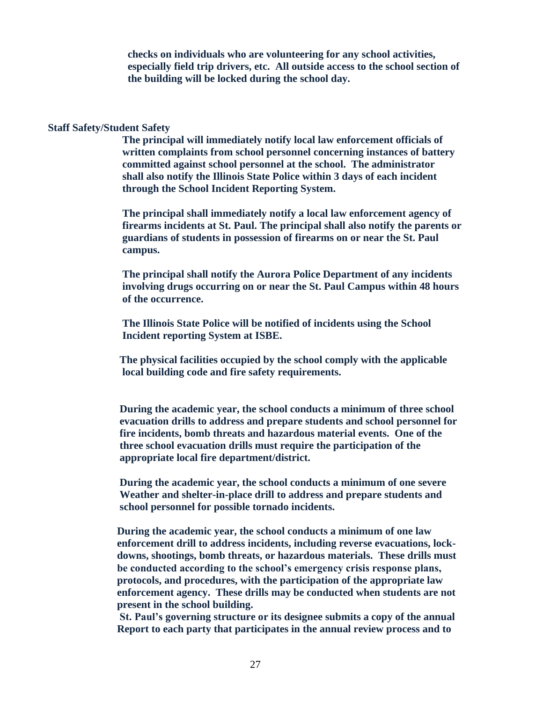**checks on individuals who are volunteering for any school activities, especially field trip drivers, etc. All outside access to the school section of the building will be locked during the school day.**

#### **Staff Safety/Student Safety**

 **The principal will immediately notify local law enforcement officials of written complaints from school personnel concerning instances of battery committed against school personnel at the school. The administrator shall also notify the Illinois State Police within 3 days of each incident through the School Incident Reporting System.**

 **The principal shall immediately notify a local law enforcement agency of firearms incidents at St. Paul. The principal shall also notify the parents or guardians of students in possession of firearms on or near the St. Paul campus.** 

 **The principal shall notify the Aurora Police Department of any incidents involving drugs occurring on or near the St. Paul Campus within 48 hours of the occurrence.** 

 **The Illinois State Police will be notified of incidents using the School Incident reporting System at ISBE.**

 **The physical facilities occupied by the school comply with the applicable local building code and fire safety requirements.**

 **During the academic year, the school conducts a minimum of three school evacuation drills to address and prepare students and school personnel for fire incidents, bomb threats and hazardous material events. One of the three school evacuation drills must require the participation of the appropriate local fire department/district.** 

 **During the academic year, the school conducts a minimum of one severe Weather and shelter-in-place drill to address and prepare students and school personnel for possible tornado incidents.** 

 **During the academic year, the school conducts a minimum of one law enforcement drill to address incidents, including reverse evacuations, lock downs, shootings, bomb threats, or hazardous materials. These drills must be conducted according to the school's emergency crisis response plans, protocols, and procedures, with the participation of the appropriate law enforcement agency. These drills may be conducted when students are not present in the school building.**

 **St. Paul's governing structure or its designee submits a copy of the annual Report to each party that participates in the annual review process and to**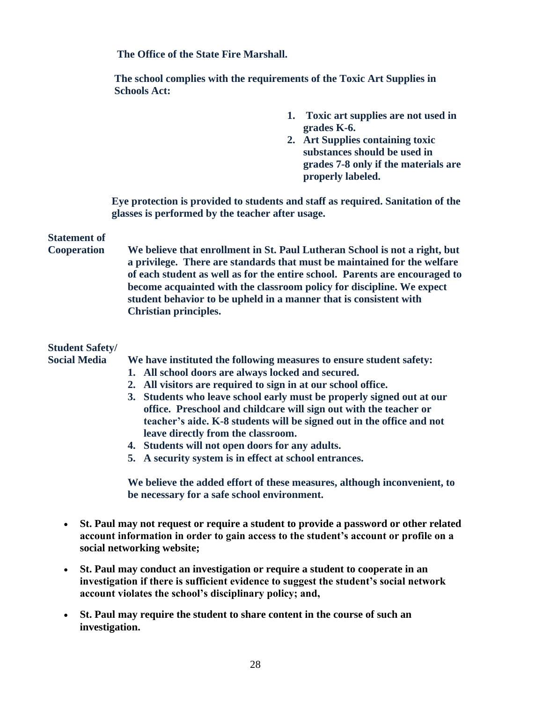**The Office of the State Fire Marshall.**

 **The school complies with the requirements of the Toxic Art Supplies in Schools Act:**

- **1. Toxic art supplies are not used in grades K-6.**
- **2. Art Supplies containing toxic substances should be used in grades 7-8 only if the materials are properly labeled.**

**Eye protection is provided to students and staff as required. Sanitation of the glasses is performed by the teacher after usage.**

## **Statement of**

**Cooperation We believe that enrollment in St. Paul Lutheran School is not a right, but a privilege. There are standards that must be maintained for the welfare of each student as well as for the entire school. Parents are encouraged to become acquainted with the classroom policy for discipline. We expect student behavior to be upheld in a manner that is consistent with Christian principles.**

## **Student Safety/**

**Social Media We have instituted the following measures to ensure student safety:** 

- **1. All school doors are always locked and secured.**
- **2. All visitors are required to sign in at our school office.**
- **3. Students who leave school early must be properly signed out at our office. Preschool and childcare will sign out with the teacher or teacher's aide. K-8 students will be signed out in the office and not leave directly from the classroom.**
- **4. Students will not open doors for any adults.**
- **5. A security system is in effect at school entrances.**

**We believe the added effort of these measures, although inconvenient, to be necessary for a safe school environment.** 

- **St. Paul may not request or require a student to provide a password or other related account information in order to gain access to the student's account or profile on a social networking website;**
- **St. Paul may conduct an investigation or require a student to cooperate in an investigation if there is sufficient evidence to suggest the student's social network account violates the school's disciplinary policy; and,**
- **St. Paul may require the student to share content in the course of such an investigation.**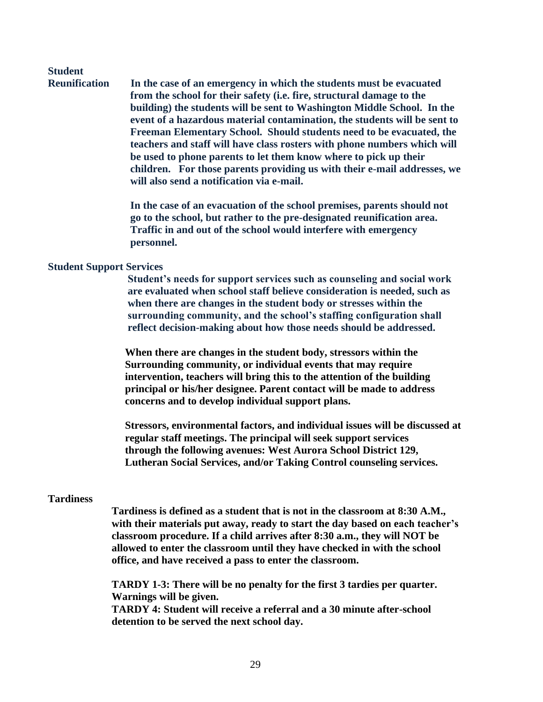# **Student**

**Reunification In the case of an emergency in which the students must be evacuated from the school for their safety (i.e. fire, structural damage to the building) the students will be sent to Washington Middle School. In the event of a hazardous material contamination, the students will be sent to Freeman Elementary School. Should students need to be evacuated, the teachers and staff will have class rosters with phone numbers which will be used to phone parents to let them know where to pick up their children. For those parents providing us with their e-mail addresses, we will also send a notification via e-mail.** 

> **In the case of an evacuation of the school premises, parents should not go to the school, but rather to the pre-designated reunification area. Traffic in and out of the school would interfere with emergency personnel.**

#### **Student Support Services**

 **Student's needs for support services such as counseling and social work are evaluated when school staff believe consideration is needed, such as when there are changes in the student body or stresses within the surrounding community, and the school's staffing configuration shall reflect decision-making about how those needs should be addressed.**

 **When there are changes in the student body, stressors within the Surrounding community, or individual events that may require intervention, teachers will bring this to the attention of the building principal or his/her designee. Parent contact will be made to address concerns and to develop individual support plans.**

 **Stressors, environmental factors, and individual issues will be discussed at regular staff meetings. The principal will seek support services through the following avenues: West Aurora School District 129, Lutheran Social Services, and/or Taking Control counseling services.**

#### **Tardiness**

**Tardiness is defined as a student that is not in the classroom at 8:30 A.M., with their materials put away, ready to start the day based on each teacher's classroom procedure. If a child arrives after 8:30 a.m., they will NOT be allowed to enter the classroom until they have checked in with the school office, and have received a pass to enter the classroom.**

**TARDY 1-3: There will be no penalty for the first 3 tardies per quarter. Warnings will be given.**

**TARDY 4: Student will receive a referral and a 30 minute after-school detention to be served the next school day.**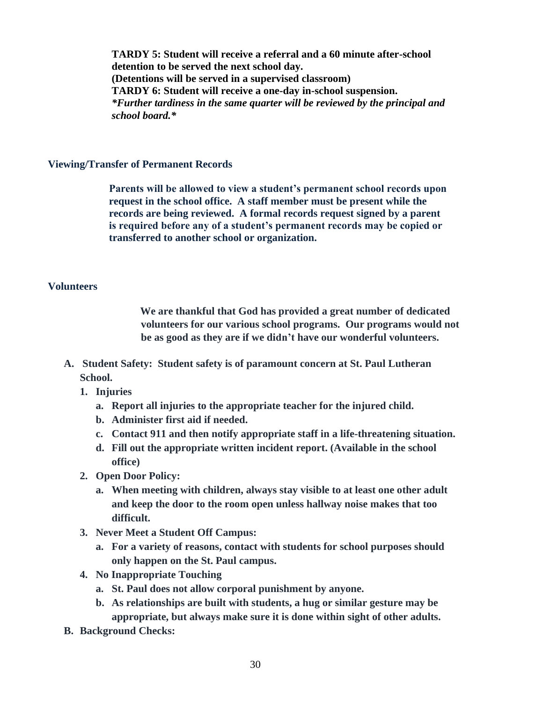**TARDY 5: Student will receive a referral and a 60 minute after-school detention to be served the next school day. (Detentions will be served in a supervised classroom) TARDY 6: Student will receive a one-day in-school suspension.** *\*Further tardiness in the same quarter will be reviewed by the principal and school board.\**

#### **Viewing/Transfer of Permanent Records**

 **Parents will be allowed to view a student's permanent school records upon request in the school office. A staff member must be present while the records are being reviewed. A formal records request signed by a parent is required before any of a student's permanent records may be copied or transferred to another school or organization.** 

#### **Volunteers**

 **We are thankful that God has provided a great number of dedicated volunteers for our various school programs. Our programs would not be as good as they are if we didn't have our wonderful volunteers.**

- **A. Student Safety: Student safety is of paramount concern at St. Paul Lutheran School.**
	- **1. Injuries**
		- **a. Report all injuries to the appropriate teacher for the injured child.**
		- **b. Administer first aid if needed.**
		- **c. Contact 911 and then notify appropriate staff in a life-threatening situation.**
		- **d. Fill out the appropriate written incident report. (Available in the school office)**
	- **2. Open Door Policy:**
		- **a. When meeting with children, always stay visible to at least one other adult and keep the door to the room open unless hallway noise makes that too difficult.**
	- **3. Never Meet a Student Off Campus:**
		- **a. For a variety of reasons, contact with students for school purposes should only happen on the St. Paul campus.**
	- **4. No Inappropriate Touching**
		- **a. St. Paul does not allow corporal punishment by anyone.**
		- **b. As relationships are built with students, a hug or similar gesture may be appropriate, but always make sure it is done within sight of other adults.**
- **B. Background Checks:**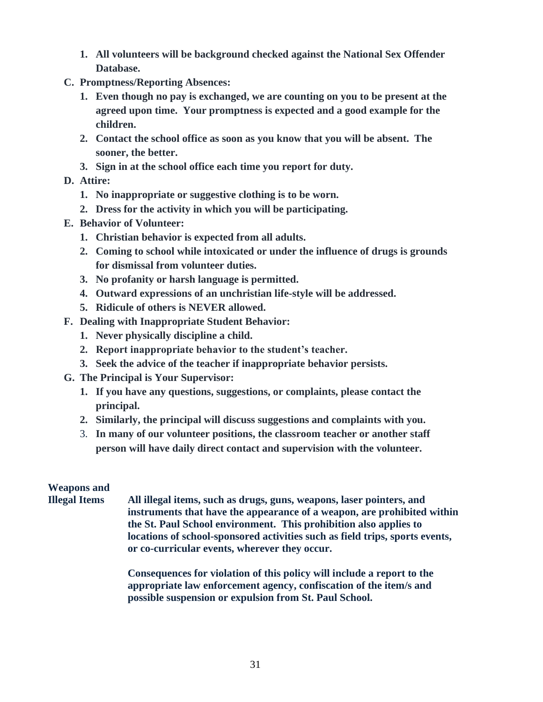- **1. All volunteers will be background checked against the National Sex Offender Database.**
- **C. Promptness/Reporting Absences:**
	- **1. Even though no pay is exchanged, we are counting on you to be present at the agreed upon time. Your promptness is expected and a good example for the children.**
	- **2. Contact the school office as soon as you know that you will be absent. The sooner, the better.**
	- **3. Sign in at the school office each time you report for duty.**
- **D. Attire:**
	- **1. No inappropriate or suggestive clothing is to be worn.**
	- **2. Dress for the activity in which you will be participating.**
- **E. Behavior of Volunteer:**
	- **1. Christian behavior is expected from all adults.**
	- **2. Coming to school while intoxicated or under the influence of drugs is grounds for dismissal from volunteer duties.**
	- **3. No profanity or harsh language is permitted.**
	- **4. Outward expressions of an unchristian life-style will be addressed.**
	- **5. Ridicule of others is NEVER allowed.**
- **F. Dealing with Inappropriate Student Behavior:**
	- **1. Never physically discipline a child.**
	- **2. Report inappropriate behavior to the student's teacher.**
	- **3. Seek the advice of the teacher if inappropriate behavior persists.**
- **G. The Principal is Your Supervisor:**
	- **1. If you have any questions, suggestions, or complaints, please contact the principal.**
	- **2. Similarly, the principal will discuss suggestions and complaints with you.**
	- 3. **In many of our volunteer positions, the classroom teacher or another staff person will have daily direct contact and supervision with the volunteer.**

## **Weapons and**

**Illegal Items All illegal items, such as drugs, guns, weapons, laser pointers, and instruments that have the appearance of a weapon, are prohibited within the St. Paul School environment. This prohibition also applies to locations of school-sponsored activities such as field trips, sports events, or co-curricular events, wherever they occur.**

> **Consequences for violation of this policy will include a report to the appropriate law enforcement agency, confiscation of the item/s and possible suspension or expulsion from St. Paul School.**